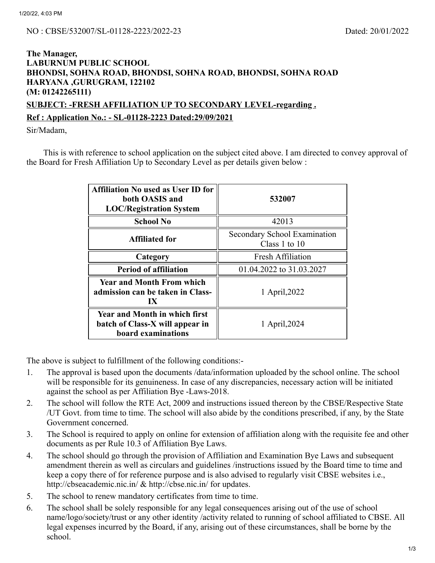## **The Manager, LABURNUM PUBLIC SCHOOL BHONDSI, SOHNA ROAD, BHONDSI, SOHNA ROAD, BHONDSI, SOHNA ROAD HARYANA ,GURUGRAM, 122102 (M: 01242265111) SUBJECT: -FRESH AFFILIATION UP TO SECONDARY LEVEL-regarding .**

**Ref : Application No.: - SL-01128-2223 Dated:29/09/2021**

Sir/Madam,

This is with reference to school application on the subject cited above. I am directed to convey approval of the Board for Fresh Affiliation Up to Secondary Level as per details given below :

| <b>Affiliation No used as User ID for</b><br>both OASIS and<br><b>LOC/Registration System</b>        | 532007                                          |  |
|------------------------------------------------------------------------------------------------------|-------------------------------------------------|--|
| <b>School No</b>                                                                                     | 42013                                           |  |
| <b>Affiliated for</b>                                                                                | Secondary School Examination<br>Class 1 to $10$ |  |
| Category                                                                                             | <b>Fresh Affiliation</b>                        |  |
| <b>Period of affiliation</b>                                                                         | 01.04.2022 to 31.03.2027                        |  |
| <b>Year and Month From which</b><br>admission can be taken in Class-<br>$\mathbf{I} \mathbf{X}$      | 1 April, 2022                                   |  |
| <b>Year and Month in which first</b><br>batch of Class-X will appear in<br><b>board examinations</b> | 1 April, 2024                                   |  |

The above is subject to fulfillment of the following conditions:-

- 1. The approval is based upon the documents /data/information uploaded by the school online. The school will be responsible for its genuineness. In case of any discrepancies, necessary action will be initiated against the school as per Affiliation Bye -Laws-2018.
- 2. The school will follow the RTE Act, 2009 and instructions issued thereon by the CBSE/Respective State /UT Govt. from time to time. The school will also abide by the conditions prescribed, if any, by the State Government concerned.
- 3. The School is required to apply on online for extension of affiliation along with the requisite fee and other documents as per Rule 10.3 of Affiliation Bye Laws.
- 4. The school should go through the provision of Affiliation and Examination Bye Laws and subsequent amendment therein as well as circulars and guidelines /instructions issued by the Board time to time and keep a copy there of for reference purpose and is also advised to regularly visit CBSE websites i.e., http://cbseacademic.nic.in/ & http://cbse.nic.in/ for updates.
- 5. The school to renew mandatory certificates from time to time.
- 6. The school shall be solely responsible for any legal consequences arising out of the use of school name/logo/society/trust or any other identity /activity related to running of school affiliated to CBSE. All legal expenses incurred by the Board, if any, arising out of these circumstances, shall be borne by the school.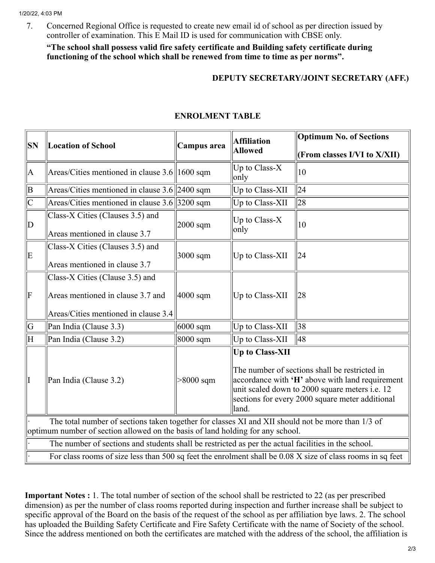7. Concerned Regional Office is requested to create new email id of school as per direction issued by controller of examination. This E Mail ID is used for communication with CBSE only.

**"The school shall possess valid fire safety certificate and Building safety certificate during functioning of the school which shall be renewed from time to time as per norms".**

## **DEPUTY SECRETARY/JOINT SECRETARY (AFF.)**

| <b>SN</b>                                                                                                  | <b>Location of School</b>                               | Campus area          | <b>Affiliation</b><br><b>Allowed</b>                                                                                                                                                                                                     | <b>Optimum No. of Sections</b> |  |
|------------------------------------------------------------------------------------------------------------|---------------------------------------------------------|----------------------|------------------------------------------------------------------------------------------------------------------------------------------------------------------------------------------------------------------------------------------|--------------------------------|--|
|                                                                                                            |                                                         |                      |                                                                                                                                                                                                                                          | (From classes I/VI to X/XII)   |  |
| A                                                                                                          | Areas/Cities mentioned in clause $3.6\parallel1600$ sqm |                      | Up to Class- $X$<br>only                                                                                                                                                                                                                 | 10                             |  |
| B                                                                                                          | Areas/Cities mentioned in clause $3.6$ 2400 sqm         |                      | Up to Class-XII                                                                                                                                                                                                                          | 24                             |  |
| $ {\rm C}$                                                                                                 | Areas/Cities mentioned in clause $3.6$ 3200 sqm         |                      | Up to Class-XII                                                                                                                                                                                                                          | 28                             |  |
| D                                                                                                          | Class-X Cities (Clauses 3.5) and                        | $2000$ sqm           | Up to Class-X<br>only                                                                                                                                                                                                                    | 10                             |  |
|                                                                                                            | Areas mentioned in clause 3.7                           |                      |                                                                                                                                                                                                                                          |                                |  |
| E                                                                                                          | Class-X Cities (Clauses 3.5) and                        | $3000$ sqm           | Up to Class-XII                                                                                                                                                                                                                          | 24                             |  |
|                                                                                                            | Areas mentioned in clause 3.7                           |                      |                                                                                                                                                                                                                                          |                                |  |
|                                                                                                            | Class-X Cities (Clause 3.5) and                         |                      |                                                                                                                                                                                                                                          |                                |  |
| F                                                                                                          | Areas mentioned in clause 3.7 and                       | $ 4000 \text{ sqm} $ | Up to Class-XII                                                                                                                                                                                                                          | 28                             |  |
|                                                                                                            | Areas/Cities mentioned in clause 3.4                    |                      |                                                                                                                                                                                                                                          |                                |  |
| G                                                                                                          | Pan India (Clause 3.3)                                  | $6000$ sqm           | Up to Class-XII                                                                                                                                                                                                                          | 38                             |  |
| $\overline{\rm H}$                                                                                         | Pan India (Clause 3.2)                                  | 8000 sqm             | Up to Class-XII                                                                                                                                                                                                                          | 48                             |  |
| I                                                                                                          | Pan India (Clause 3.2)                                  | $>8000$ sqm          | <b>Up to Class-XII</b><br>The number of sections shall be restricted in<br>accordance with 'H' above with land requirement<br>unit scaled down to 2000 square meters i.e. 12<br>sections for every 2000 square meter additional<br>land. |                                |  |
| The total number of sections taken together for classes XI and XII should not be more than 1/3 of          |                                                         |                      |                                                                                                                                                                                                                                          |                                |  |
| optimum number of section allowed on the basis of land holding for any school.                             |                                                         |                      |                                                                                                                                                                                                                                          |                                |  |
| The number of sections and students shall be restricted as per the actual facilities in the school.        |                                                         |                      |                                                                                                                                                                                                                                          |                                |  |
| For class rooms of size less than 500 sq feet the enrolment shall be 0.08 X size of class rooms in sq feet |                                                         |                      |                                                                                                                                                                                                                                          |                                |  |

## **ENROLMENT TABLE**

**Important Notes :** 1. The total number of section of the school shall be restricted to 22 (as per prescribed dimension) as per the number of class rooms reported during inspection and further increase shall be subject to specific approval of the Board on the basis of the request of the school as per affiliation bye laws. 2. The school has uploaded the Building Safety Certificate and Fire Safety Certificate with the name of Society of the school. Since the address mentioned on both the certificates are matched with the address of the school, the affiliation is